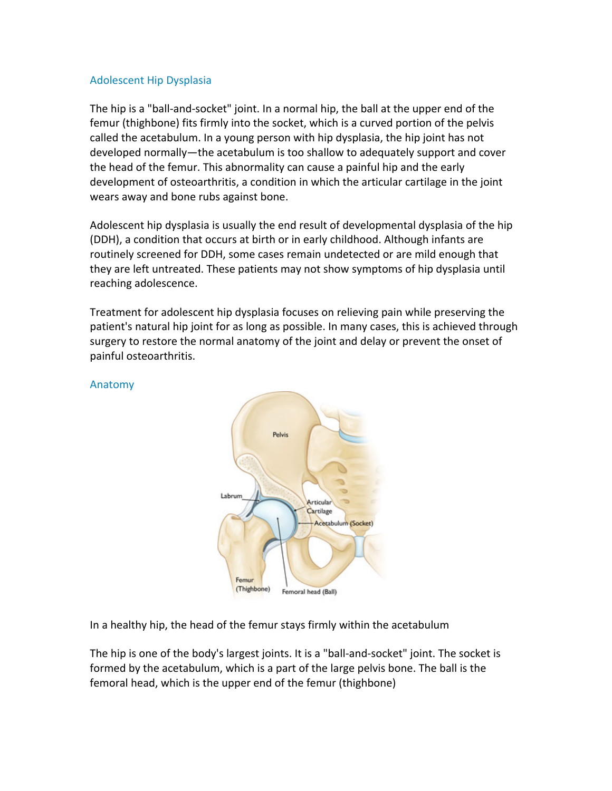#### Adolescent Hip Dysplasia

The hip is a "ball-and-socket" joint. In a normal hip, the ball at the upper end of the femur (thighbone) fits firmly into the socket, which is a curved portion of the pelvis called the acetabulum. In a young person with hip dysplasia, the hip joint has not developed normally—the acetabulum is too shallow to adequately support and cover the head of the femur. This abnormality can cause a painful hip and the early development of osteoarthritis, a condition in which the articular cartilage in the joint wears away and bone rubs against bone.

Adolescent hip dysplasia is usually the end result of developmental dysplasia of the hip (DDH), a condition that occurs at birth or in early childhood. Although infants are routinely screened for DDH, some cases remain undetected or are mild enough that they are left untreated. These patients may not show symptoms of hip dysplasia until reaching adolescence.

Treatment for adolescent hip dysplasia focuses on relieving pain while preserving the patient's natural hip joint for as long as possible. In many cases, this is achieved through surgery to restore the normal anatomy of the joint and delay or prevent the onset of painful osteoarthritis.

> Pelvis Labrur Articular Cartilage Acetabulum (Socket) Femur (Thighbone) Femoral head (Ball)

#### Anatomy

In a healthy hip, the head of the femur stays firmly within the acetabulum

The hip is one of the body's largest joints. It is a "ball-and-socket" joint. The socket is formed by the acetabulum, which is a part of the large pelvis bone. The ball is the femoral head, which is the upper end of the femur (thighbone)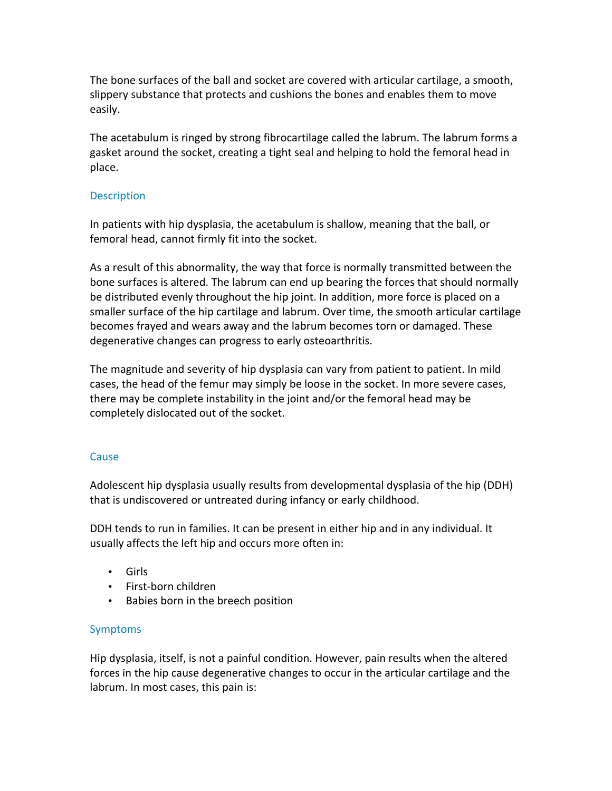The bone surfaces of the ball and socket are covered with articular cartilage, a smooth, slippery substance that protects and cushions the bones and enables them to move easily.

The acetabulum is ringed by strong fibrocartilage called the labrum. The labrum forms a gasket around the socket, creating a tight seal and helping to hold the femoral head in place.

### **Description**

In patients with hip dysplasia, the acetabulum is shallow, meaning that the ball, or femoral head, cannot firmly fit into the socket.

As a result of this abnormality, the way that force is normally transmitted between the bone surfaces is altered. The labrum can end up bearing the forces that should normally be distributed evenly throughout the hip joint. In addition, more force is placed on a smaller surface of the hip cartilage and labrum. Over time, the smooth articular cartilage becomes frayed and wears away and the labrum becomes torn or damaged. These degenerative changes can progress to early osteoarthritis.

The magnitude and severity of hip dysplasia can vary from patient to patient. In mild cases, the head of the femur may simply be loose in the socket. In more severe cases, there may be complete instability in the joint and/or the femoral head may be completely dislocated out of the socket.

#### **Cause**

Adolescent hip dysplasia usually results from developmental dysplasia of the hip (DDH) that is undiscovered or untreated during infancy or early childhood.

DDH tends to run in families. It can be present in either hip and in any individual. It usually affects the left hip and occurs more often in:

- Girls
- First-born children
- Babies born in the breech position

# Symptoms

Hip dysplasia, itself, is not a painful condition. However, pain results when the altered forces in the hip cause degenerative changes to occur in the articular cartilage and the labrum. In most cases, this pain is: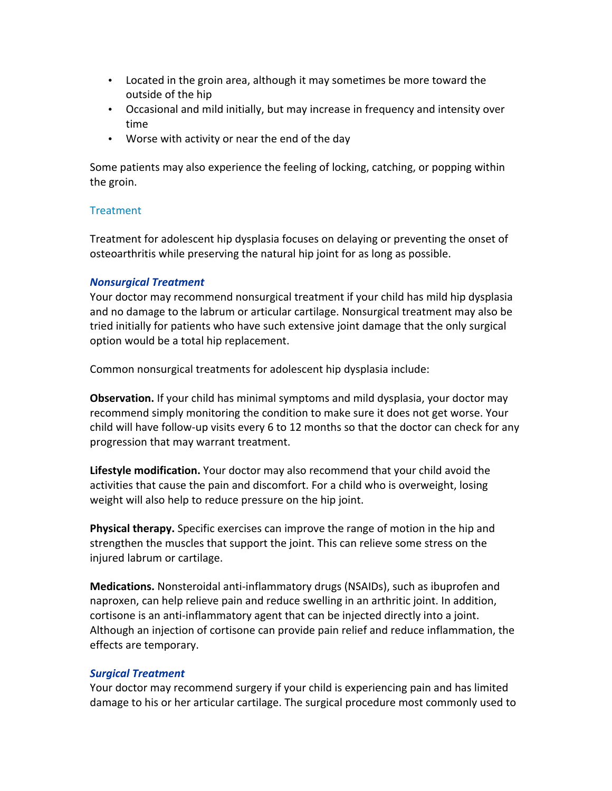- Located in the groin area, although it may sometimes be more toward the outside of the hip
- Occasional and mild initially, but may increase in frequency and intensity over time
- Worse with activity or near the end of the day

Some patients may also experience the feeling of locking, catching, or popping within the groin.

## **Treatment**

Treatment for adolescent hip dysplasia focuses on delaying or preventing the onset of osteoarthritis while preserving the natural hip joint for as long as possible.

## *Nonsurgical Treatment*

Your doctor may recommend nonsurgical treatment if your child has mild hip dysplasia and no damage to the labrum or articular cartilage. Nonsurgical treatment may also be tried initially for patients who have such extensive joint damage that the only surgical option would be a total hip replacement.

Common nonsurgical treatments for adolescent hip dysplasia include:

**Observation.** If your child has minimal symptoms and mild dysplasia, your doctor may recommend simply monitoring the condition to make sure it does not get worse. Your child will have follow-up visits every 6 to 12 months so that the doctor can check for any progression that may warrant treatment.

Lifestyle modification. Your doctor may also recommend that your child avoid the activities that cause the pain and discomfort. For a child who is overweight, losing weight will also help to reduce pressure on the hip joint.

**Physical therapy.** Specific exercises can improve the range of motion in the hip and strengthen the muscles that support the joint. This can relieve some stress on the injured labrum or cartilage.

**Medications.** Nonsteroidal anti-inflammatory drugs (NSAIDs), such as ibuprofen and naproxen, can help relieve pain and reduce swelling in an arthritic joint. In addition, cortisone is an anti-inflammatory agent that can be injected directly into a joint. Although an injection of cortisone can provide pain relief and reduce inflammation, the effects are temporary.

# *Surgical Treatment*

Your doctor may recommend surgery if your child is experiencing pain and has limited damage to his or her articular cartilage. The surgical procedure most commonly used to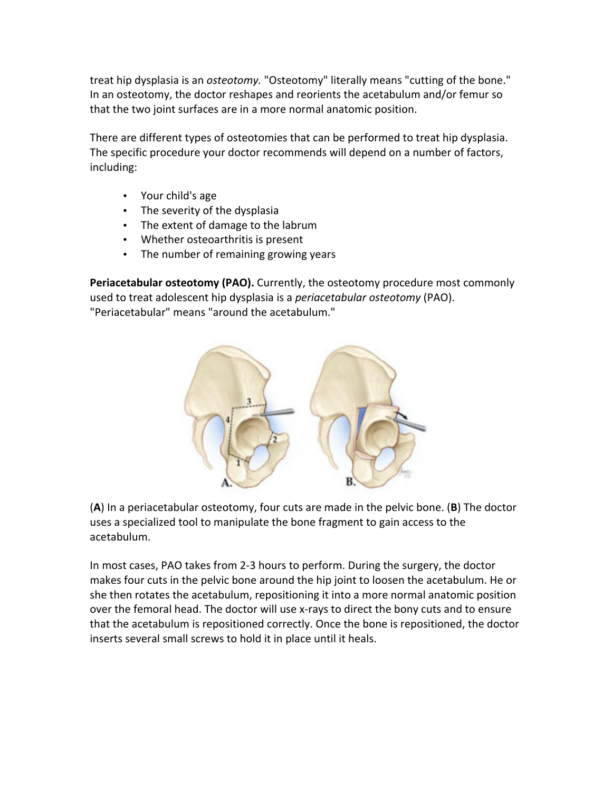treat hip dysplasia is an *osteotomy*. "Osteotomy" literally means "cutting of the bone." In an osteotomy, the doctor reshapes and reorients the acetabulum and/or femur so that the two joint surfaces are in a more normal anatomic position.

There are different types of osteotomies that can be performed to treat hip dysplasia. The specific procedure your doctor recommends will depend on a number of factors, including:

- Your child's age
- The severity of the dysplasia
- The extent of damage to the labrum
- Whether osteoarthritis is present
- The number of remaining growing years

**Periacetabular osteotomy (PAO).** Currently, the osteotomy procedure most commonly used to treat adolescent hip dysplasia is a *periacetabular osteotomy* (PAO). "Periacetabular" means "around the acetabulum."



(A) In a periacetabular osteotomy, four cuts are made in the pelvic bone. (B) The doctor uses a specialized tool to manipulate the bone fragment to gain access to the acetabulum.

In most cases, PAO takes from 2-3 hours to perform. During the surgery, the doctor makes four cuts in the pelvic bone around the hip joint to loosen the acetabulum. He or she then rotates the acetabulum, repositioning it into a more normal anatomic position over the femoral head. The doctor will use x-rays to direct the bony cuts and to ensure that the acetabulum is repositioned correctly. Once the bone is repositioned, the doctor inserts several small screws to hold it in place until it heals.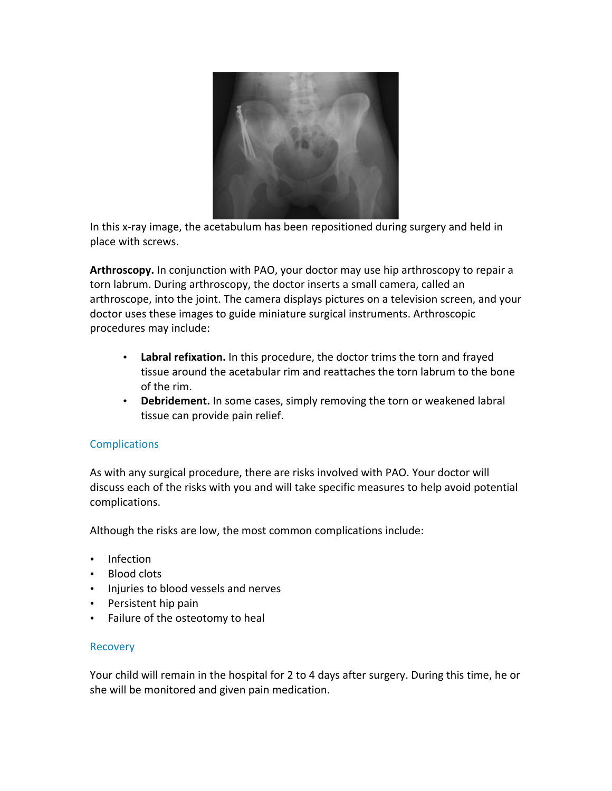

In this x-ray image, the acetabulum has been repositioned during surgery and held in place with screws.

**Arthroscopy.** In conjunction with PAO, your doctor may use hip arthroscopy to repair a torn labrum. During arthroscopy, the doctor inserts a small camera, called an arthroscope, into the joint. The camera displays pictures on a television screen, and your doctor uses these images to guide miniature surgical instruments. Arthroscopic procedures may include:

- Labral refixation. In this procedure, the doctor trims the torn and frayed tissue around the acetabular rim and reattaches the torn labrum to the bone of the rim.
- Debridement. In some cases, simply removing the torn or weakened labral tissue can provide pain relief.

# **Complications**

As with any surgical procedure, there are risks involved with PAO. Your doctor will discuss each of the risks with you and will take specific measures to help avoid potential complications.

Although the risks are low, the most common complications include:

- Infection
- Blood clots
- Injuries to blood vessels and nerves
- Persistent hip pain
- Failure of the osteotomy to heal

#### **Recovery**

Your child will remain in the hospital for 2 to 4 days after surgery. During this time, he or she will be monitored and given pain medication.